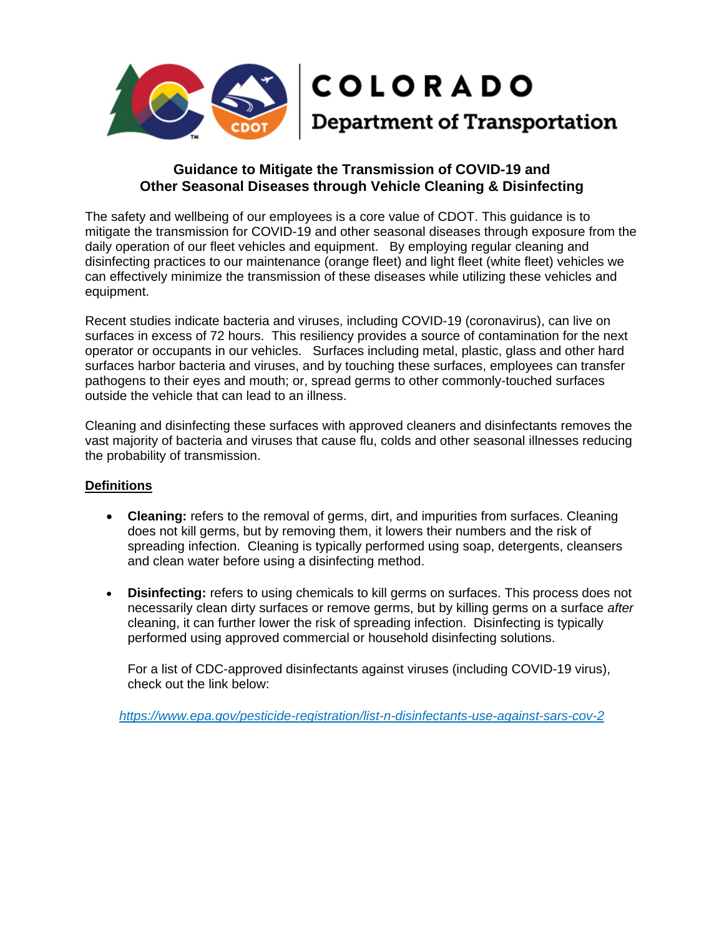

# **Guidance to Mitigate the Transmission of COVID-19 and Other Seasonal Diseases through Vehicle Cleaning & Disinfecting**

The safety and wellbeing of our employees is a core value of CDOT. This guidance is to mitigate the transmission for COVID-19 and other seasonal diseases through exposure from the daily operation of our fleet vehicles and equipment. By employing regular cleaning and disinfecting practices to our maintenance (orange fleet) and light fleet (white fleet) vehicles we can effectively minimize the transmission of these diseases while utilizing these vehicles and equipment.

Recent studies indicate bacteria and viruses, including COVID-19 (coronavirus), can live on surfaces in excess of 72 hours. This resiliency provides a source of contamination for the next operator or occupants in our vehicles. Surfaces including metal, plastic, glass and other hard surfaces harbor bacteria and viruses, and by touching these surfaces, employees can transfer pathogens to their eyes and mouth; or, spread germs to other commonly-touched surfaces outside the vehicle that can lead to an illness.

Cleaning and disinfecting these surfaces with approved cleaners and disinfectants removes the vast majority of bacteria and viruses that cause flu, colds and other seasonal illnesses reducing the probability of transmission.

## **Definitions**

- **Cleaning:** refers to the removal of germs, dirt, and impurities from surfaces. Cleaning does not kill germs, but by removing them, it lowers their numbers and the risk of spreading infection. Cleaning is typically performed using soap, detergents, cleansers and clean water before using a disinfecting method.
- **Disinfecting:** refers to using chemicals to kill germs on surfaces. This process does not necessarily clean dirty surfaces or remove germs, but by killing germs on a surface *after*  cleaning, it can further lower the risk of spreading infection. Disinfecting is typically performed using approved commercial or household disinfecting solutions.

For a list of CDC-approved disinfectants against viruses (including COVID-19 virus), check out the link below:

*<https://www.epa.gov/pesticide-registration/list-n-disinfectants-use-against-sars-cov-2>*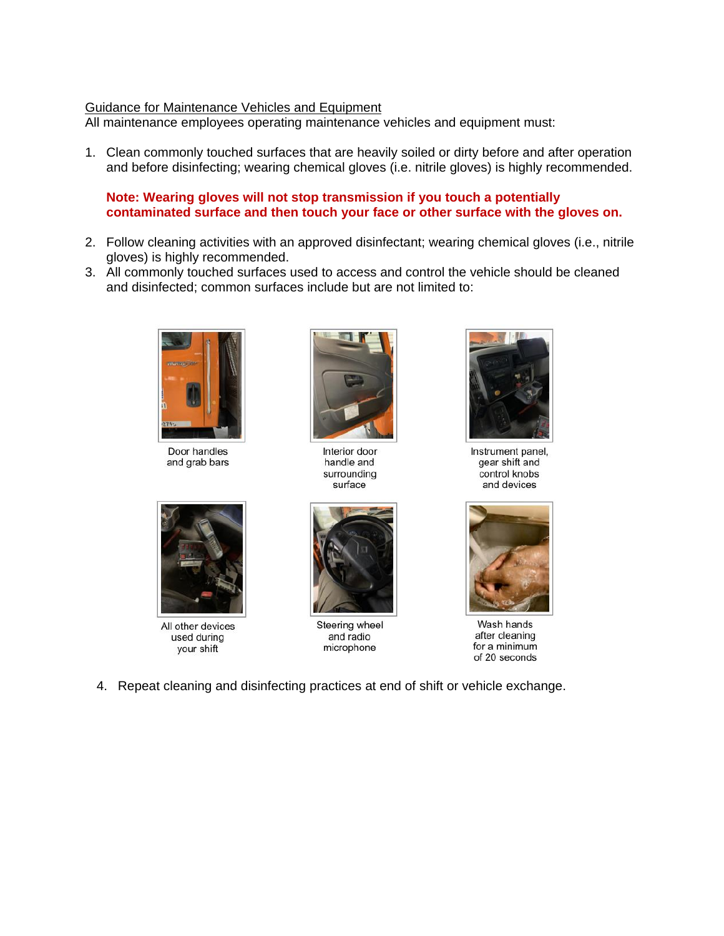#### Guidance for Maintenance Vehicles and Equipment

All maintenance employees operating maintenance vehicles and equipment must:

1. Clean commonly touched surfaces that are heavily soiled or dirty before and after operation and before disinfecting; wearing chemical gloves (i.e. nitrile gloves) is highly recommended.

#### **Note: Wearing gloves will not stop transmission if you touch a potentially contaminated surface and then touch your face or other surface with the gloves on.**

- 2. Follow cleaning activities with an approved disinfectant; wearing chemical gloves (i.e., nitrile gloves) is highly recommended.
- 3. All commonly touched surfaces used to access and control the vehicle should be cleaned and disinfected; common surfaces include but are not limited to:



Door handles and grab bars



Interior door handle and surrounding surface



All other devices used during your shift



Steering wheel and radio microphone



Instrument panel, gear shift and control knobs and devices



Wash hands after cleaning for a minimum of 20 seconds

4. Repeat cleaning and disinfecting practices at end of shift or vehicle exchange.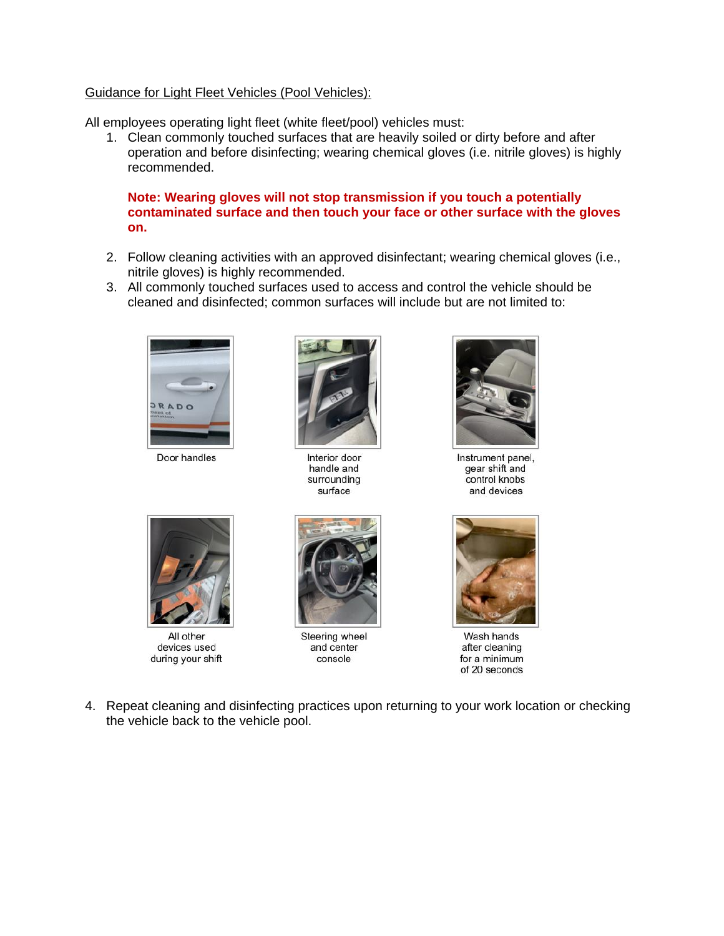## Guidance for Light Fleet Vehicles (Pool Vehicles):

All employees operating light fleet (white fleet/pool) vehicles must:

1. Clean commonly touched surfaces that are heavily soiled or dirty before and after operation and before disinfecting; wearing chemical gloves (i.e. nitrile gloves) is highly recommended.

**Note: Wearing gloves will not stop transmission if you touch a potentially contaminated surface and then touch your face or other surface with the gloves on.**

- 2. Follow cleaning activities with an approved disinfectant; wearing chemical gloves (i.e., nitrile gloves) is highly recommended.
- 3. All commonly touched surfaces used to access and control the vehicle should be cleaned and disinfected; common surfaces will include but are not limited to:



Door handles



Interior door handle and surrounding surface



Instrument panel, gear shift and control knobs and devices



All other devices used during your shift



Steering wheel and center console



Wash hands after cleaning for a minimum of 20 seconds

4. Repeat cleaning and disinfecting practices upon returning to your work location or checking the vehicle back to the vehicle pool.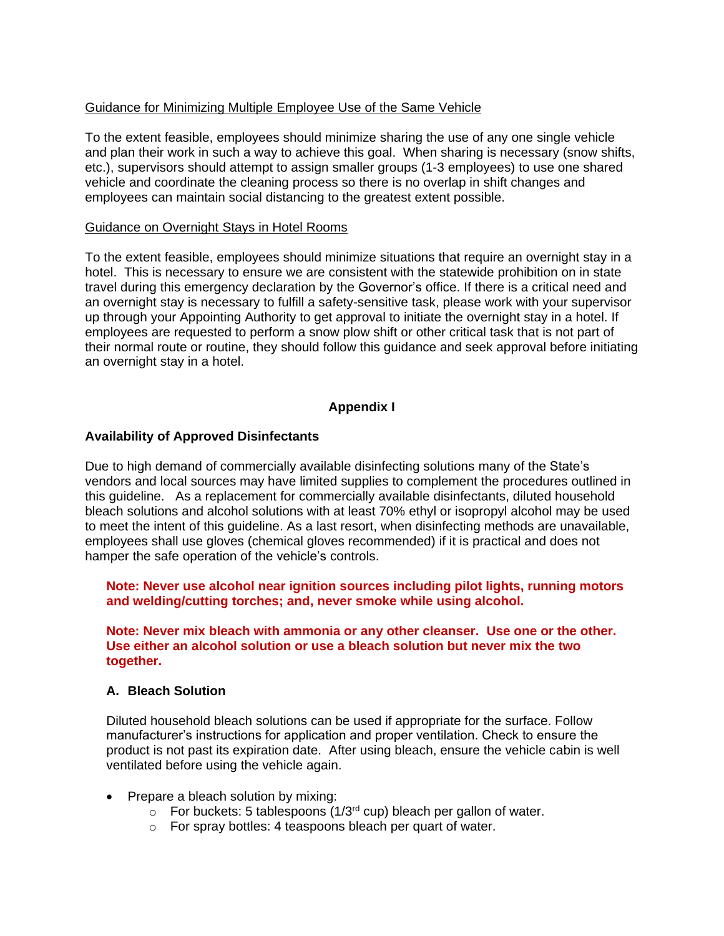## Guidance for Minimizing Multiple Employee Use of the Same Vehicle

To the extent feasible, employees should minimize sharing the use of any one single vehicle and plan their work in such a way to achieve this goal. When sharing is necessary (snow shifts, etc.), supervisors should attempt to assign smaller groups (1-3 employees) to use one shared vehicle and coordinate the cleaning process so there is no overlap in shift changes and employees can maintain social distancing to the greatest extent possible.

#### Guidance on Overnight Stays in Hotel Rooms

To the extent feasible, employees should minimize situations that require an overnight stay in a hotel. This is necessary to ensure we are consistent with the statewide prohibition on in state travel during this emergency declaration by the Governor's office. If there is a critical need and an overnight stay is necessary to fulfill a safety-sensitive task, please work with your supervisor up through your Appointing Authority to get approval to initiate the overnight stay in a hotel. If employees are requested to perform a snow plow shift or other critical task that is not part of their normal route or routine, they should follow this guidance and seek approval before initiating an overnight stay in a hotel.

# **Appendix I**

## **Availability of Approved Disinfectants**

Due to high demand of commercially available disinfecting solutions many of the State's vendors and local sources may have limited supplies to complement the procedures outlined in this guideline. As a replacement for commercially available disinfectants, diluted household bleach solutions and alcohol solutions with at least 70% ethyl or isopropyl alcohol may be used to meet the intent of this guideline. As a last resort, when disinfecting methods are unavailable, employees shall use gloves (chemical gloves recommended) if it is practical and does not hamper the safe operation of the vehicle's controls.

**Note: Never use alcohol near ignition sources including pilot lights, running motors and welding/cutting torches; and, never smoke while using alcohol.**

**Note: Never mix bleach with ammonia or any other cleanser. Use one or the other. Use either an alcohol solution or use a bleach solution but never mix the two together.** 

## **A. Bleach Solution**

Diluted household bleach solutions can be used if appropriate for the surface. Follow manufacturer's instructions for application and proper ventilation. Check to ensure the product is not past its expiration date. After using bleach, ensure the vehicle cabin is well ventilated before using the vehicle again.

- Prepare a bleach solution by mixing:
	- $\circ$  For buckets: 5 tablespoons (1/3<sup>rd</sup> cup) bleach per gallon of water.
	- o For spray bottles: 4 teaspoons bleach per quart of water.